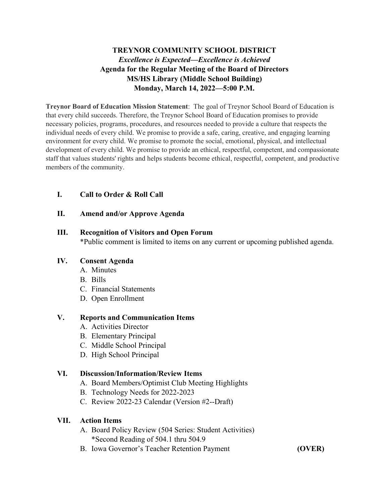## **TREYNOR COMMUNITY SCHOOL DISTRICT** *Excellence is Expected—Excellence is Achieved* **Agenda for the Regular Meeting of the Board of Directors MS/HS Library (Middle School Building) Monday, March 14, 2022—5:00 P.M.**

**Treynor Board of Education Mission Statement**: The goal of Treynor School Board of Education is that every child succeeds. Therefore, the Treynor School Board of Education promises to provide necessary policies, programs, procedures, and resources needed to provide a culture that respects the individual needs of every child. We promise to provide a safe, caring, creative, and engaging learning environment for every child. We promise to promote the social, emotional, physical, and intellectual development of every child. We promise to provide an ethical, respectful, competent, and compassionate staff that values students' rights and helps students become ethical, respectful, competent, and productive members of the community.

### **I. Call to Order & Roll Call**

### **II. Amend and/or Approve Agenda**

#### **III. Recognition of Visitors and Open Forum**

\*Public comment is limited to items on any current or upcoming published agenda.

### **IV. Consent Agenda**

- A. Minutes
- B. Bills
- C. Financial Statements
- D. Open Enrollment

#### **V. Reports and Communication Items**

- A. Activities Director
- B. Elementary Principal
- C. Middle School Principal
- D. High School Principal

### **VI. Discussion/Information/Review Items**

- A. Board Members/Optimist Club Meeting Highlights
- B. Technology Needs for 2022-2023
- C. Review 2022-23 Calendar (Version #2--Draft)

#### **VII. Action Items**

- A. Board Policy Review (504 Series: Student Activities) \*Second Reading of 504.1 thru 504.9
- B. Iowa Governor's Teacher Retention Payment **(OVER)**